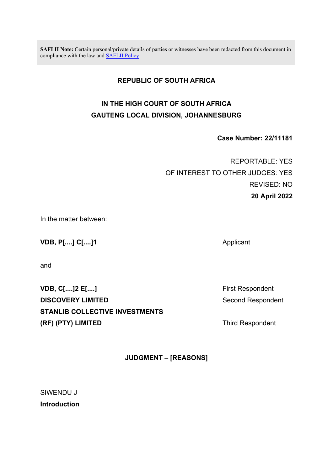**SAFLII Note:** Certain personal/private details of parties or witnesses have been redacted from this document in compliance with the law and [SAFLII Policy](http://www.saflii.org/content/terms-use)

## **REPUBLIC OF SOUTH AFRICA**

## **IN THE HIGH COURT OF SOUTH AFRICA GAUTENG LOCAL DIVISION, JOHANNESBURG**

**Case Number: 22/11181**

REPORTABLE: YES OF INTEREST TO OTHER JUDGES: YES REVISED: NO **20 April 2022**

In the matter between:

**VDB, P[....] C[....]1** Applicant

and

**VDB, C[....]2 E[....] Example 20 and 20 and 20 and 20 and 20 and 20 and 20 and 20 and 20 and 20 and 20 and 20 and 20 and 20 and 20 and 20 and 20 and 20 and 20 and 20 and 20 and 20 and 20 and 20 and 20 and 20 and 20 and DISCOVERY LIMITED** Second Respondent **STANLIB COLLECTIVE INVESTMENTS (RF) (PTY) LIMITED** Third Respondent

**JUDGMENT – [REASONS]**

SIWENDU J **Introduction**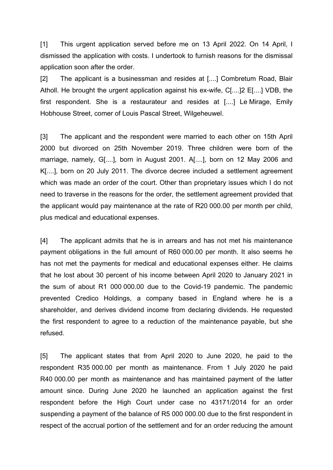[1] This urgent application served before me on 13 April 2022. On 14 April, I dismissed the application with costs. I undertook to furnish reasons for the dismissal application soon after the order.

[2] The applicant is a businessman and resides at [....] Combretum Road, Blair Atholl. He brought the urgent application against his ex-wife, C[....]2 E[....] VDB, the first respondent. She is a restaurateur and resides at [....] Le Mirage, Emily Hobhouse Street, comer of Louis Pascal Street, Wilgeheuwel.

[3] The applicant and the respondent were married to each other on 15th April 2000 but divorced on 25th November 2019. Three children were born of the marriage, namely, G[....], born in August 2001. A[....], born on 12 May 2006 and K[....], born on 20 July 2011. The divorce decree included a settlement agreement which was made an order of the court. Other than proprietary issues which I do not need to traverse in the reasons for the order, the settlement agreement provided that the applicant would pay maintenance at the rate of R20 000.00 per month per child, plus medical and educational expenses.

[4] The applicant admits that he is in arrears and has not met his maintenance payment obligations in the full amount of R60 000.00 per month. It also seems he has not met the payments for medical and educational expenses either. He claims that he lost about 30 percent of his income between April 2020 to January 2021 in the sum of about R1 000 000.00 due to the Covid-19 pandemic. The pandemic prevented Credico Holdings, a company based in England where he is a shareholder, and derives dividend income from declaring dividends. He requested the first respondent to agree to a reduction of the maintenance payable, but she refused.

[5] The applicant states that from April 2020 to June 2020, he paid to the respondent R35 000.00 per month as maintenance. From 1 July 2020 he paid R40 000.00 per month as maintenance and has maintained payment of the latter amount since. During June 2020 he launched an application against the first respondent before the High Court under case no 43171/2014 for an order suspending a payment of the balance of R5 000 000.00 due to the first respondent in respect of the accrual portion of the settlement and for an order reducing the amount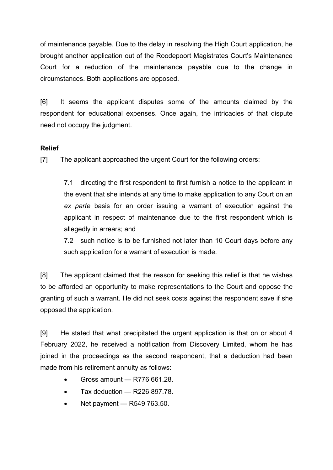of maintenance payable. Due to the delay in resolving the High Court application, he brought another application out of the Roodepoort Magistrates Court's Maintenance Court for a reduction of the maintenance payable due to the change in circumstances. Both applications are opposed.

[6] It seems the applicant disputes some of the amounts claimed by the respondent for educational expenses. Once again, the intricacies of that dispute need not occupy the judgment.

## **Relief**

[7] The applicant approached the urgent Court for the following orders:

7.1 directing the first respondent to first furnish a notice to the applicant in the event that she intends at any time to make application to any Court on an *ex parte* basis for an order issuing a warrant of execution against the applicant in respect of maintenance due to the first respondent which is allegedly in arrears; and

7.2 such notice is to be furnished not later than 10 Court days before any such application for a warrant of execution is made.

[8] The applicant claimed that the reason for seeking this relief is that he wishes to be afforded an opportunity to make representations to the Court and oppose the granting of such a warrant. He did not seek costs against the respondent save if she opposed the application.

[9] He stated that what precipitated the urgent application is that on or about 4 February 2022, he received a notification from Discovery Limited, whom he has joined in the proceedings as the second respondent, that a deduction had been made from his retirement annuity as follows:

- $\bullet$  Gross amount R776 661.28.
- Tax deduction  $-$  R226 897.78.
- Net payment  $R549763.50$ .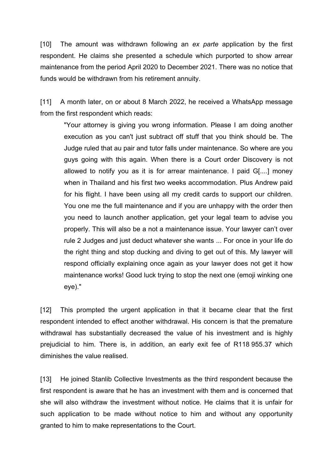[10] The amount was withdrawn following an *ex parte* application by the first respondent. He claims she presented a schedule which purported to show arrear maintenance from the period April 2020 to December 2021. There was no notice that funds would be withdrawn from his retirement annuity.

[11] A month later, on or about 8 March 2022, he received a WhatsApp message from the first respondent which reads:

"Your attorney is giving you wrong information. Please I am doing another execution as you can't just subtract off stuff that you think should be. The Judge ruled that au pair and tutor falls under maintenance. So where are you guys going with this again. When there is a Court order Discovery is not allowed to notify you as it is for arrear maintenance. I paid G[....] money when in Thailand and his first two weeks accommodation. Plus Andrew paid for his flight. I have been using all my credit cards to support our children. You one me the full maintenance and if you are unhappy with the order then you need to launch another application, get your legal team to advise you properly. This will also be a not a maintenance issue. Your lawyer can't over rule 2 Judges and just deduct whatever she wants ... For once in your life do the right thing and stop ducking and diving to get out of this. My lawyer will respond officially explaining once again as your lawyer does not get it how maintenance works! Good luck trying to stop the next one (emoji winking one eye)."

[12] This prompted the urgent application in that it became clear that the first respondent intended to effect another withdrawal. His concern is that the premature withdrawal has substantially decreased the value of his investment and is highly prejudicial to him. There is, in addition, an early exit fee of R118 955.37 which diminishes the value realised.

[13] He joined Stanlib Collective Investments as the third respondent because the first respondent is aware that he has an investment with them and is concerned that she will also withdraw the investment without notice. He claims that it is unfair for such application to be made without notice to him and without any opportunity granted to him to make representations to the Court.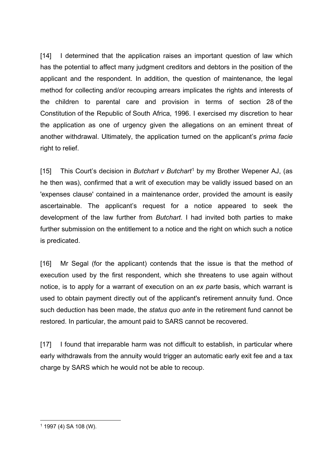[14] I determined that the application raises an important question of law which has the potential to affect many judgment creditors and debtors in the position of the applicant and the respondent. In addition, the question of maintenance, the legal method for collecting and/or recouping arrears implicates the rights and interests of the children to parental care and provision in terms of section 28 of the Constitution of the Republic of South Africa, 1996. I exercised my discretion to hear the application as one of urgency given the allegations on an eminent threat of another withdrawal. Ultimately, the application turned on the applicant's *prima facie*  right to relief.

[15] This Court's decision in *Butchart v Butchart*[1](#page-4-0) by my Brother Wepener AJ, (as he then was), confirmed that a writ of execution may be validly issued based on an 'expenses clause' contained in a maintenance order, provided the amount is easily ascertainable. The applicant's request for a notice appeared to seek the development of the law further from *Butchart*. I had invited both parties to make further submission on the entitlement to a notice and the right on which such a notice is predicated.

[16] Mr Segal (for the applicant) contends that the issue is that the method of execution used by the first respondent, which she threatens to use again without notice, is to apply for a warrant of execution on an *ex parte* basis, which warrant is used to obtain payment directly out of the applicant's retirement annuity fund. Once such deduction has been made, the *status quo ante* in the retirement fund cannot be restored. In particular, the amount paid to SARS cannot be recovered.

[17] I found that irreparable harm was not difficult to establish, in particular where early withdrawals from the annuity would trigger an automatic early exit fee and a tax charge by SARS which he would not be able to recoup.

 $\overline{a}$ 

<span id="page-4-0"></span><sup>1</sup> 1997 (4) SA 108 (W).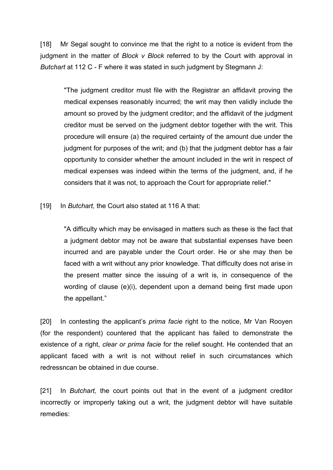[18] Mr Segal sought to convince me that the right to a notice is evident from the judgment in the matter of *Block v Block* referred to by the Court with approval in *Butchart* at 112 C - F where it was stated in such judgment by Stegmann J:

"The judgment creditor must file with the Registrar an affidavit proving the medical expenses reasonably incurred; the writ may then validly include the amount so proved by the judgment creditor; and the affidavit of the judgment creditor must be served on the judgment debtor together with the writ. This procedure will ensure (a) the required certainty of the amount due under the judgment for purposes of the writ; and (b) that the judgment debtor has a fair opportunity to consider whether the amount included in the writ in respect of medical expenses was indeed within the terms of the judgment, and, if he considers that it was not, to approach the Court for appropriate relief."

[19] In *Butchart,* the Court also stated at 116 A that:

"A difficulty which may be envisaged in matters such as these is the fact that a judgment debtor may not be aware that substantial expenses have been incurred and are payable under the Court order. He or she may then be faced with a writ without any prior knowledge. That difficulty does not arise in the present matter since the issuing of a writ is, in consequence of the wording of clause (e)(i), dependent upon a demand being first made upon the appellant."

[20] In contesting the applicant's *prima facie* right to the notice, Mr Van Rooyen (for the respondent) countered that the applicant has failed to demonstrate the existence of a right, *clear or prima facie* for the relief sought. He contended that an applicant faced with a writ is not without relief in such circumstances which redressncan be obtained in due course.

[21] In *Butchart,* the court points out that in the event of a judgment creditor incorrectly or improperly taking out a writ, the judgment debtor will have suitable remedies: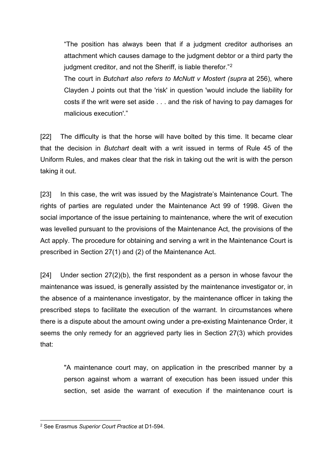"The position has always been that if a judgment creditor authorises an attachment which causes damage to the judgment debtor or a third party the judgment creditor, and not the Sheriff, is liable therefor."<sup>[2](#page-6-0)</sup>

The court in *Butchart also refers to McNutt v Mostert (supra* at 256), where Clayden J points out that the 'risk' in question 'would include the liability for costs if the writ were set aside . . . and the risk of having to pay damages for malicious execution'."

[22] The difficulty is that the horse will have bolted by this time. It became clear that the decision in *Butchart* dealt with a writ issued in terms of Rule 45 of the Uniform Rules, and makes clear that the risk in taking out the writ is with the person taking it out.

[23] In this case, the writ was issued by the Magistrate's Maintenance Court. The rights of parties are regulated under the Maintenance Act 99 of 1998. Given the social importance of the issue pertaining to maintenance, where the writ of execution was levelled pursuant to the provisions of the Maintenance Act, the provisions of the Act apply. The procedure for obtaining and serving a writ in the Maintenance Court is prescribed in Section 27(1) and (2) of the Maintenance Act.

[24] Under section  $27(2)(b)$ , the first respondent as a person in whose favour the maintenance was issued, is generally assisted by the maintenance investigator or, in the absence of a maintenance investigator, by the maintenance officer in taking the prescribed steps to facilitate the execution of the warrant. In circumstances where there is a dispute about the amount owing under a pre-existing Maintenance Order, it seems the only remedy for an aggrieved party lies in Section 27(3) which provides that:

"A maintenance court may, on application in the prescribed manner by a person against whom a warrant of execution has been issued under this section, set aside the warrant of execution if the maintenance court is

<span id="page-6-0"></span> $\overline{a}$ <sup>2</sup> See Erasmus *Superior Court Practice* at D1-594.